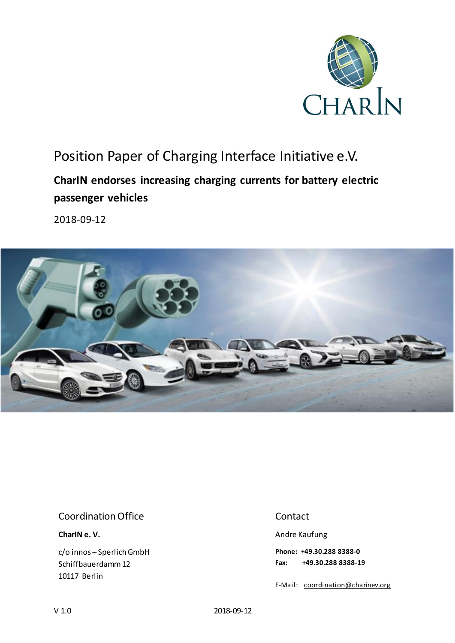

# Position Paper of Charging Interface Initiative e.V.

## **CharIN endorses increasing charging currents for battery electric passenger vehicles**

2018-09-12



#### Coordination Office

**[CharIN e. V.](http://charinev.org/news/)**

c/o innos – Sperlich GmbH Schiffbauerdamm 12 10117 Berlin

#### Contact

Andre Kaufung

**Phone: [+49.30.288](tel:+49%2030%20288) 8388-0 Fax: [+49.30.288](tel:+49%2030%20288) 8388-19**

E-Mail: [coordination@charinev.org](mailto:andre.kaufung@charinev.org)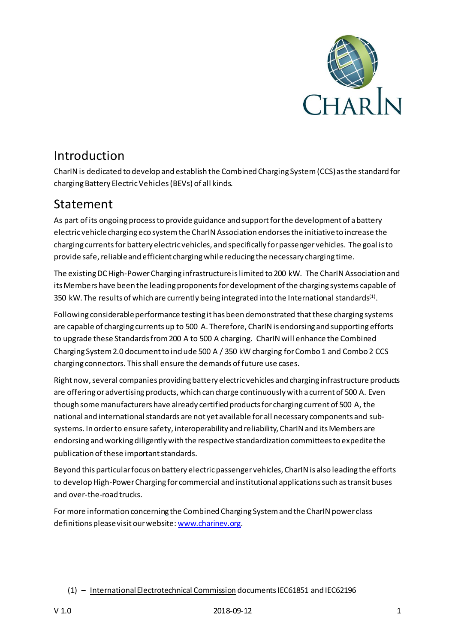

## Introduction

CharIN is dedicated to develop and establish the Combined Charging System (CCS) as the standard for charging Battery Electric Vehicles (BEVs) of all kinds.

## Statement

As part of its ongoing process to provide guidance and support for the development of a battery electric vehicle charging eco system the CharIN Association endorses the initiative to increase the charging currents for battery electric vehicles, and specifically for passenger vehicles. The goal is to provide safe, reliable and efficient charging while reducing the necessary charging time.

The existing DC High-Power Charging infrastructure is limited to 200 kW. The CharIN Association and its Members have been the leading proponents for development of the charging systems capable of 350 kW. The results of which are currently being integrated into the International standards $^{(1)}$ .

Following considerable performance testing it has been demonstrated that these charging systems are capable of charging currents up to 500 A. Therefore, CharIN is endorsing and supporting efforts to upgrade these Standards from 200 A to 500 A charging. CharIN will enhance the Combined Charging System 2.0 document to include 500 A / 350 kW charging for Combo 1 and Combo 2 CCS charging connectors. This shall ensure the demands of future use cases.

Right now, several companies providing battery electric vehicles and charging infrastructure products are offering or advertising products, which can charge continuously with a current of 500 A. Even though some manufacturers have already certified products for charging current of 500 A, the national and international standards are not yet available for all necessary components and subsystems. In order to ensure safety, interoperability and reliability, CharIN and its Members are endorsing and working diligently with the respective standardization committees to expedite the publication of these important standards.

Beyond this particular focus on battery electric passenger vehicles, CharIN is also leading the efforts to develop High-Power Charging for commercial and institutional applications such as transit buses and over-the-road trucks.

For more information concerning the Combined Charging System and the CharIN power class definitions please visit our website[: www.charinev.org.](http://www.charinev.org/)

(1) – [International Electrotechnical Commission](https://en.wikipedia.org/wiki/International_Electrotechnical_Commission) documents IEC61851 and IEC62196